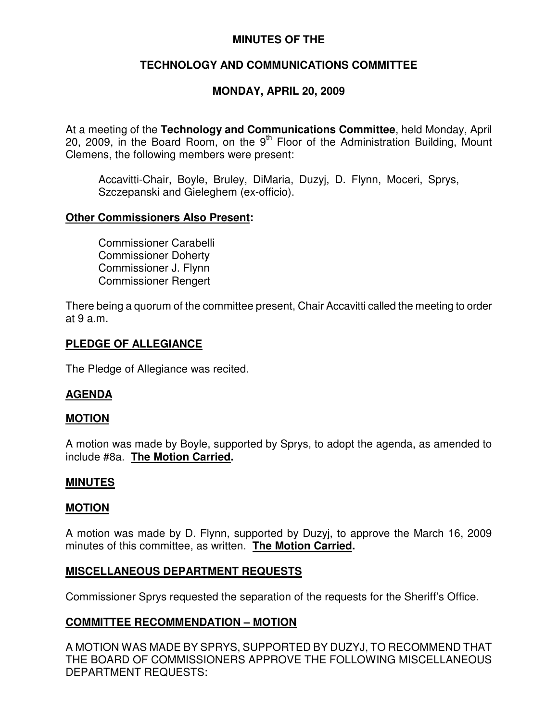### **MINUTES OF THE**

## **TECHNOLOGY AND COMMUNICATIONS COMMITTEE**

## **MONDAY, APRIL 20, 2009**

At a meeting of the **Technology and Communications Committee**, held Monday, April 20, 2009, in the Board Room, on the  $9<sup>th</sup>$  Floor of the Administration Building, Mount Clemens, the following members were present:

Accavitti-Chair, Boyle, Bruley, DiMaria, Duzyj, D. Flynn, Moceri, Sprys, Szczepanski and Gieleghem (ex-officio).

#### **Other Commissioners Also Present:**

Commissioner Carabelli Commissioner Doherty Commissioner J. Flynn Commissioner Rengert

There being a quorum of the committee present, Chair Accavitti called the meeting to order at 9 a.m.

### **PLEDGE OF ALLEGIANCE**

The Pledge of Allegiance was recited.

### **AGENDA**

#### **MOTION**

A motion was made by Boyle, supported by Sprys, to adopt the agenda, as amended to include #8a. **The Motion Carried.**

#### **MINUTES**

#### **MOTION**

A motion was made by D. Flynn, supported by Duzyj, to approve the March 16, 2009 minutes of this committee, as written. **The Motion Carried.**

#### **MISCELLANEOUS DEPARTMENT REQUESTS**

Commissioner Sprys requested the separation of the requests for the Sheriff's Office.

### **COMMITTEE RECOMMENDATION – MOTION**

A MOTION WAS MADE BY SPRYS, SUPPORTED BY DUZYJ, TO RECOMMEND THAT THE BOARD OF COMMISSIONERS APPROVE THE FOLLOWING MISCELLANEOUS DEPARTMENT REQUESTS: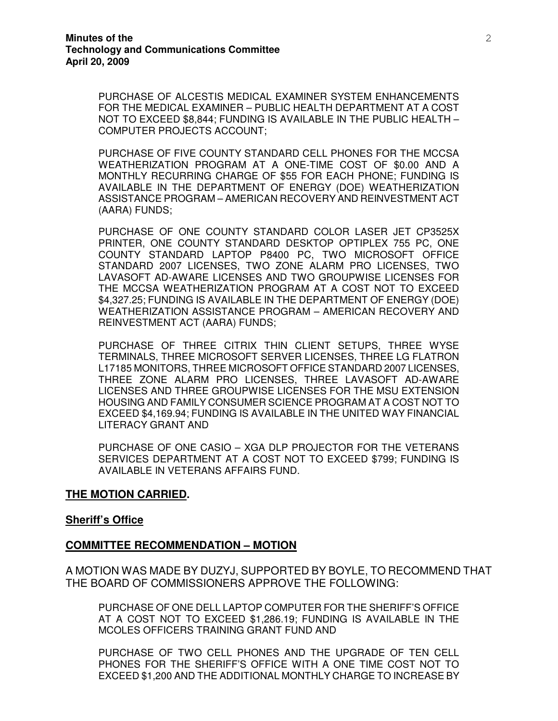PURCHASE OF ALCESTIS MEDICAL EXAMINER SYSTEM ENHANCEMENTS FOR THE MEDICAL EXAMINER – PUBLIC HEALTH DEPARTMENT AT A COST NOT TO EXCEED \$8,844; FUNDING IS AVAILABLE IN THE PUBLIC HEALTH – COMPUTER PROJECTS ACCOUNT;

PURCHASE OF FIVE COUNTY STANDARD CELL PHONES FOR THE MCCSA WEATHERIZATION PROGRAM AT A ONE-TIME COST OF \$0.00 AND A MONTHLY RECURRING CHARGE OF \$55 FOR EACH PHONE; FUNDING IS AVAILABLE IN THE DEPARTMENT OF ENERGY (DOE) WEATHERIZATION ASSISTANCE PROGRAM – AMERICAN RECOVERY AND REINVESTMENT ACT (AARA) FUNDS;

PURCHASE OF ONE COUNTY STANDARD COLOR LASER JET CP3525X PRINTER, ONE COUNTY STANDARD DESKTOP OPTIPLEX 755 PC, ONE COUNTY STANDARD LAPTOP P8400 PC, TWO MICROSOFT OFFICE STANDARD 2007 LICENSES, TWO ZONE ALARM PRO LICENSES, TWO LAVASOFT AD-AWARE LICENSES AND TWO GROUPWISE LICENSES FOR THE MCCSA WEATHERIZATION PROGRAM AT A COST NOT TO EXCEED \$4,327.25; FUNDING IS AVAILABLE IN THE DEPARTMENT OF ENERGY (DOE) WEATHERIZATION ASSISTANCE PROGRAM – AMERICAN RECOVERY AND REINVESTMENT ACT (AARA) FUNDS;

PURCHASE OF THREE CITRIX THIN CLIENT SETUPS, THREE WYSE TERMINALS, THREE MICROSOFT SERVER LICENSES, THREE LG FLATRON L17185 MONITORS, THREE MICROSOFT OFFICE STANDARD 2007 LICENSES, THREE ZONE ALARM PRO LICENSES, THREE LAVASOFT AD-AWARE LICENSES AND THREE GROUPWISE LICENSES FOR THE MSU EXTENSION HOUSING AND FAMILY CONSUMER SCIENCE PROGRAM AT A COST NOT TO EXCEED \$4,169.94; FUNDING IS AVAILABLE IN THE UNITED WAY FINANCIAL LITERACY GRANT AND

PURCHASE OF ONE CASIO – XGA DLP PROJECTOR FOR THE VETERANS SERVICES DEPARTMENT AT A COST NOT TO EXCEED \$799; FUNDING IS AVAILABLE IN VETERANS AFFAIRS FUND.

#### **THE MOTION CARRIED.**

#### **Sheriff's Office**

#### **COMMITTEE RECOMMENDATION – MOTION**

A MOTION WAS MADE BY DUZYJ, SUPPORTED BY BOYLE, TO RECOMMEND THAT THE BOARD OF COMMISSIONERS APPROVE THE FOLLOWING:

PURCHASE OF ONE DELL LAPTOP COMPUTER FOR THE SHERIFF'S OFFICE AT A COST NOT TO EXCEED \$1,286.19; FUNDING IS AVAILABLE IN THE MCOLES OFFICERS TRAINING GRANT FUND AND

PURCHASE OF TWO CELL PHONES AND THE UPGRADE OF TEN CELL PHONES FOR THE SHERIFF'S OFFICE WITH A ONE TIME COST NOT TO EXCEED \$1,200 AND THE ADDITIONAL MONTHLY CHARGE TO INCREASE BY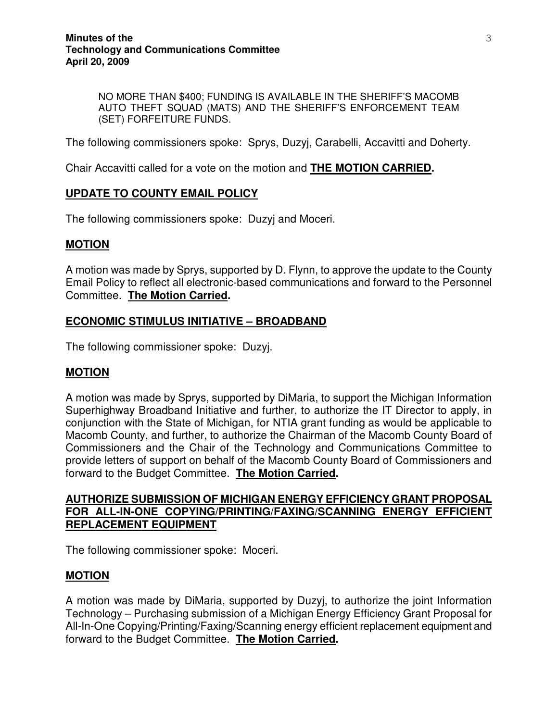NO MORE THAN \$400; FUNDING IS AVAILABLE IN THE SHERIFF'S MACOMB AUTO THEFT SQUAD (MATS) AND THE SHERIFF'S ENFORCEMENT TEAM (SET) FORFEITURE FUNDS.

The following commissioners spoke: Sprys, Duzyj, Carabelli, Accavitti and Doherty.

Chair Accavitti called for a vote on the motion and **THE MOTION CARRIED.**

### **UPDATE TO COUNTY EMAIL POLICY**

The following commissioners spoke: Duzyj and Moceri.

### **MOTION**

A motion was made by Sprys, supported by D. Flynn, to approve the update to the County Email Policy to reflect all electronic-based communications and forward to the Personnel Committee. **The Motion Carried.**

### **ECONOMIC STIMULUS INITIATIVE – BROADBAND**

The following commissioner spoke: Duzyj.

### **MOTION**

A motion was made by Sprys, supported by DiMaria, to support the Michigan Information Superhighway Broadband Initiative and further, to authorize the IT Director to apply, in conjunction with the State of Michigan, for NTIA grant funding as would be applicable to Macomb County, and further, to authorize the Chairman of the Macomb County Board of Commissioners and the Chair of the Technology and Communications Committee to provide letters of support on behalf of the Macomb County Board of Commissioners and forward to the Budget Committee. **The Motion Carried.**

## **AUTHORIZE SUBMISSION OF MICHIGAN ENERGY EFFICIENCY GRANT PROPOSAL FOR ALL-IN-ONE COPYING/PRINTING/FAXING/SCANNING ENERGY EFFICIENT REPLACEMENT EQUIPMENT**

The following commissioner spoke: Moceri.

#### **MOTION**

A motion was made by DiMaria, supported by Duzyj, to authorize the joint Information Technology – Purchasing submission of a Michigan Energy Efficiency Grant Proposal for All-In-One Copying/Printing/Faxing/Scanning energy efficient replacement equipment and forward to the Budget Committee. **The Motion Carried.**